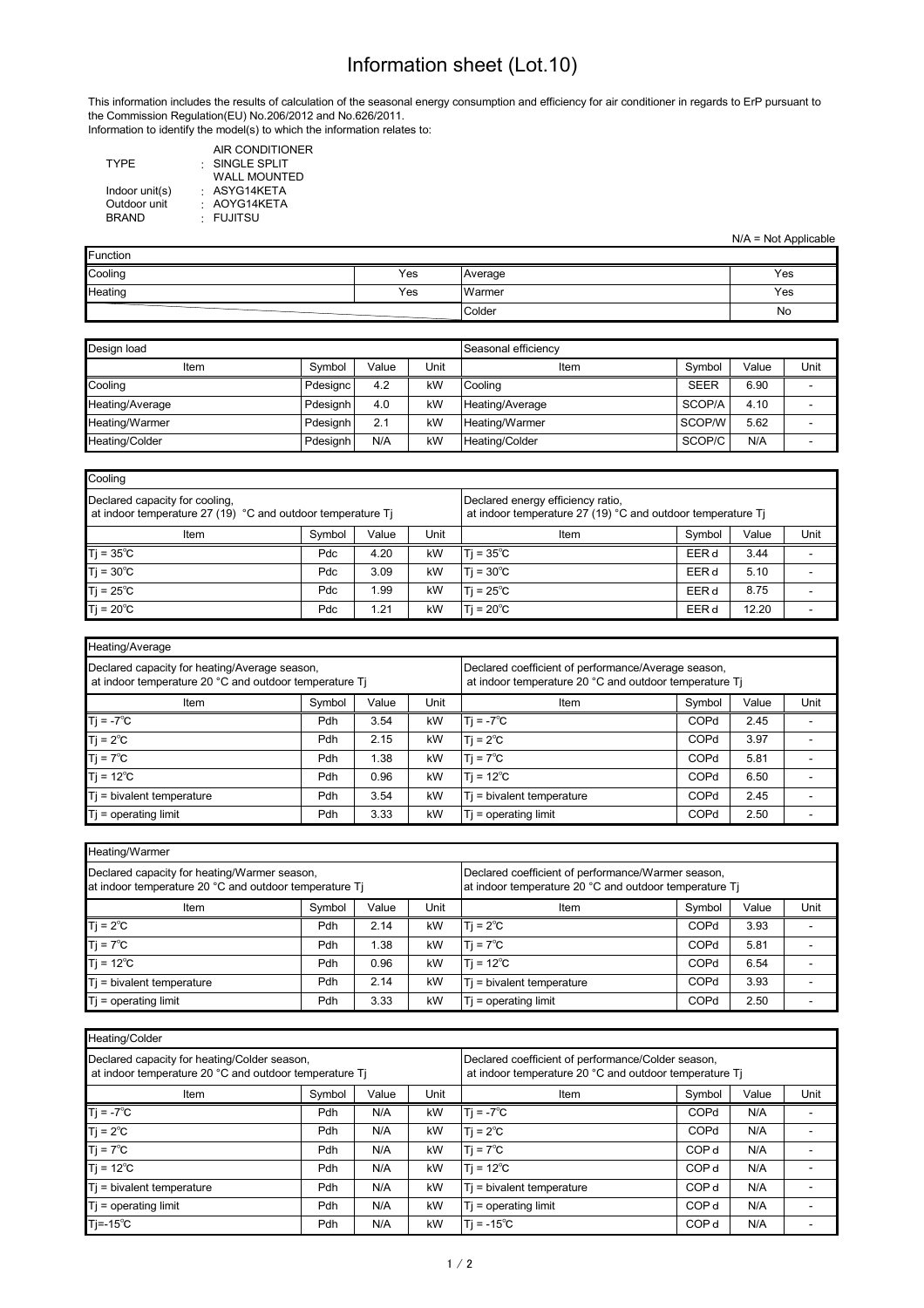## Information sheet (Lot.10)

This information includes the results of calculation of the seasonal energy consumption and efficiency for air conditioner in regards to ErP pursuant to the Commission Regulation(EU) No.206/2012 and No.626/2011. Information to identify the model(s) to which the information relates to:

|                | AIR CONDITIONER      |
|----------------|----------------------|
| <b>TYPE</b>    | $\cdot$ SINGLE SPLIT |
|                | <b>WALL MOUNTED</b>  |
| Indoor unit(s) | · ASYG14KETA         |
| Outdoor unit   | : AOYG14KETA         |
| <b>BRAND</b>   | · FUJITSU            |
|                |                      |

| $N/A = Not Applicable$ |  |  |
|------------------------|--|--|
|------------------------|--|--|

| Function |     |         |     |
|----------|-----|---------|-----|
| Cooling  | Yes | Average | Yes |
| Heating  | Yes | Warmer  | Yes |
|          |     | Colder  | No  |

| Design load           | Seasonal efficiency |       |      |                 |             |       |      |
|-----------------------|---------------------|-------|------|-----------------|-------------|-------|------|
| Item                  | Symbol              | Value | Unit | Item            | Symbol      | Value | Unit |
| Cooling               | Pdesianc            | 4.2   | kW   | Cooling         | <b>SEER</b> | 6.90  |      |
| Heating/Average       | Pdesianh            | 4.0   | kW   | Heating/Average | SCOP/A      | 4.10  |      |
| Heating/Warmer        | Pdesianh            | 2.1   | kW   | Heating/Warmer  | SCOP/W      | 5.62  |      |
| <b>Heating/Colder</b> | Pdesignh            | N/A   | kW   | Heating/Colder  | SCOP/C      | N/A   |      |

| Cooling                                                                                       |        |       |      |                                                                                                  |        |       |      |
|-----------------------------------------------------------------------------------------------|--------|-------|------|--------------------------------------------------------------------------------------------------|--------|-------|------|
| Declared capacity for cooling.<br>at indoor temperature 27 (19) °C and outdoor temperature Ti |        |       |      | Declared energy efficiency ratio,<br>at indoor temperature 27 (19) °C and outdoor temperature Ti |        |       |      |
| Item                                                                                          | Symbol | Value | Unit | Item                                                                                             | Symbol | Value | Unit |
| $T$ j = 35 $^{\circ}$ C                                                                       | Pdc    | 4.20  | kW   | $Ti = 35^{\circ}C$                                                                               | EER d  | 3.44  |      |
| $Tj = 30^{\circ}C$                                                                            | Pdc    | 3.09  | kW   | $T = 30^{\circ}C$                                                                                | EER d  | 5.10  |      |
| $Tj = 25^{\circ}C$                                                                            | Pdc    | 1.99  | kW   | $T = 25^{\circ}C$                                                                                | EER d  | 8.75  |      |
| $Ti = 20^{\circ}C$                                                                            | Pdc    | 1.21  | kW   | $Ti = 20^{\circ}C$                                                                               | EER d  | 12.20 |      |

| Heating/Average                                                                                         |        |       |      |                                                                                                               |        |       |      |  |
|---------------------------------------------------------------------------------------------------------|--------|-------|------|---------------------------------------------------------------------------------------------------------------|--------|-------|------|--|
| Declared capacity for heating/Average season,<br>at indoor temperature 20 °C and outdoor temperature Ti |        |       |      | Declared coefficient of performance/Average season,<br>at indoor temperature 20 °C and outdoor temperature Ti |        |       |      |  |
| Item                                                                                                    | Symbol | Value | Unit | Item                                                                                                          | Symbol | Value | Unit |  |
| $Tj = -7^{\circ}C$                                                                                      | Pdh    | 3.54  | kW   | $Ti = -7^{\circ}C$                                                                                            | COPd   | 2.45  |      |  |
| $Tj = 2^{\circ}C$                                                                                       | Pdh    | 2.15  | kW   | $Ti = 2^{\circ}C$                                                                                             | COPd   | 3.97  |      |  |
| $Tj = 7^{\circ}C$                                                                                       | Pdh    | 1.38  | kW   | $Ti = 7^{\circ}C$                                                                                             | COPd   | 5.81  |      |  |
| $Tj = 12^{\circ}C$                                                                                      | Pdh    | 0.96  | kW   | $Ti = 12^{\circ}C$                                                                                            | COPd   | 6.50  |      |  |
| $T$ = bivalent temperature                                                                              | Pdh    | 3.54  | kW   | $Ti = bivalent$ temperature                                                                                   | COPd   | 2.45  |      |  |
| $Ti =$ operating limit                                                                                  | Pdh    | 3.33  | kW   | $Ti =$ operating limit                                                                                        | COPd   | 2.50  |      |  |

| Heating/Warmer                                                                                         |        |       |      |                                                                                                              |        |       |      |  |  |  |  |  |
|--------------------------------------------------------------------------------------------------------|--------|-------|------|--------------------------------------------------------------------------------------------------------------|--------|-------|------|--|--|--|--|--|
| Declared capacity for heating/Warmer season,<br>at indoor temperature 20 °C and outdoor temperature Ti |        |       |      | Declared coefficient of performance/Warmer season,<br>at indoor temperature 20 °C and outdoor temperature Ti |        |       |      |  |  |  |  |  |
| Item                                                                                                   | Symbol | Value | Unit | Item                                                                                                         | Symbol | Value | Unit |  |  |  |  |  |
| $T$ j = 2 $^{\circ}$ C                                                                                 | Pdh    | 2.14  | kW   | $Ti = 2^{\circ}C$                                                                                            | COPd   | 3.93  |      |  |  |  |  |  |
| $Ti = 7^{\circ}C$                                                                                      | Pdh    | .38   | kW   | $Ti = 7^{\circ}C$                                                                                            | COPd   | 5.81  |      |  |  |  |  |  |
| $Ti = 12^{\circ}C$                                                                                     | Pdh    | 0.96  | kW   | $Ti = 12^{\circ}C$                                                                                           | COPd   | 6.54  |      |  |  |  |  |  |
| $Ti = bivalent$ temperature                                                                            | Pdh    | 2.14  | kW   | $Ti = bivalent$ temperature                                                                                  | COPd   | 3.93  |      |  |  |  |  |  |
| $Ti =$ operating limit                                                                                 | Pdh    | 3.33  | kW   | $Ti =$ operating limit                                                                                       | COPd   | 2.50  |      |  |  |  |  |  |

| Heating/Colder                                                                                         |        |       |      |                                                                                                              |                  |     |  |
|--------------------------------------------------------------------------------------------------------|--------|-------|------|--------------------------------------------------------------------------------------------------------------|------------------|-----|--|
| Declared capacity for heating/Colder season,<br>at indoor temperature 20 °C and outdoor temperature Ti |        |       |      | Declared coefficient of performance/Colder season,<br>at indoor temperature 20 °C and outdoor temperature Ti |                  |     |  |
| Item                                                                                                   | Symbol | Value | Unit | Symbol<br>Value<br>Item                                                                                      |                  |     |  |
| $Ti = -7^{\circ}C$                                                                                     | Pdh    | N/A   | kW   | $Ti = -7^{\circ}C$                                                                                           | COPd             | N/A |  |
| $Ti = 2^{\circ}C$                                                                                      | Pdh    | N/A   | kW   | $Ti = 2^{\circ}C$                                                                                            | COPd             | N/A |  |
| $Ti = 7^{\circ}C$                                                                                      | Pdh    | N/A   | kW   | $Ti = 7^{\circ}C$                                                                                            | COP <sub>d</sub> | N/A |  |
| $T$ j = 12 $^{\circ}$ C                                                                                | Pdh    | N/A   | kW   | $Ti = 12^{\circ}C$                                                                                           | COP <sub>d</sub> | N/A |  |
| $Ti = bivalent$ temperature                                                                            | Pdh    | N/A   | kW   | $Ti = bivalent$ temperature                                                                                  | COP <sub>d</sub> | N/A |  |
| $Ti =$ operating limit                                                                                 | Pdh    | N/A   | kW   | $Ti =$ operating limit                                                                                       | COP <sub>d</sub> | N/A |  |
| $Ti = -15^{\circ}C$                                                                                    | Pdh    | N/A   | kW   | $Ti = -15^{\circ}C$                                                                                          | COP <sub>d</sub> | N/A |  |